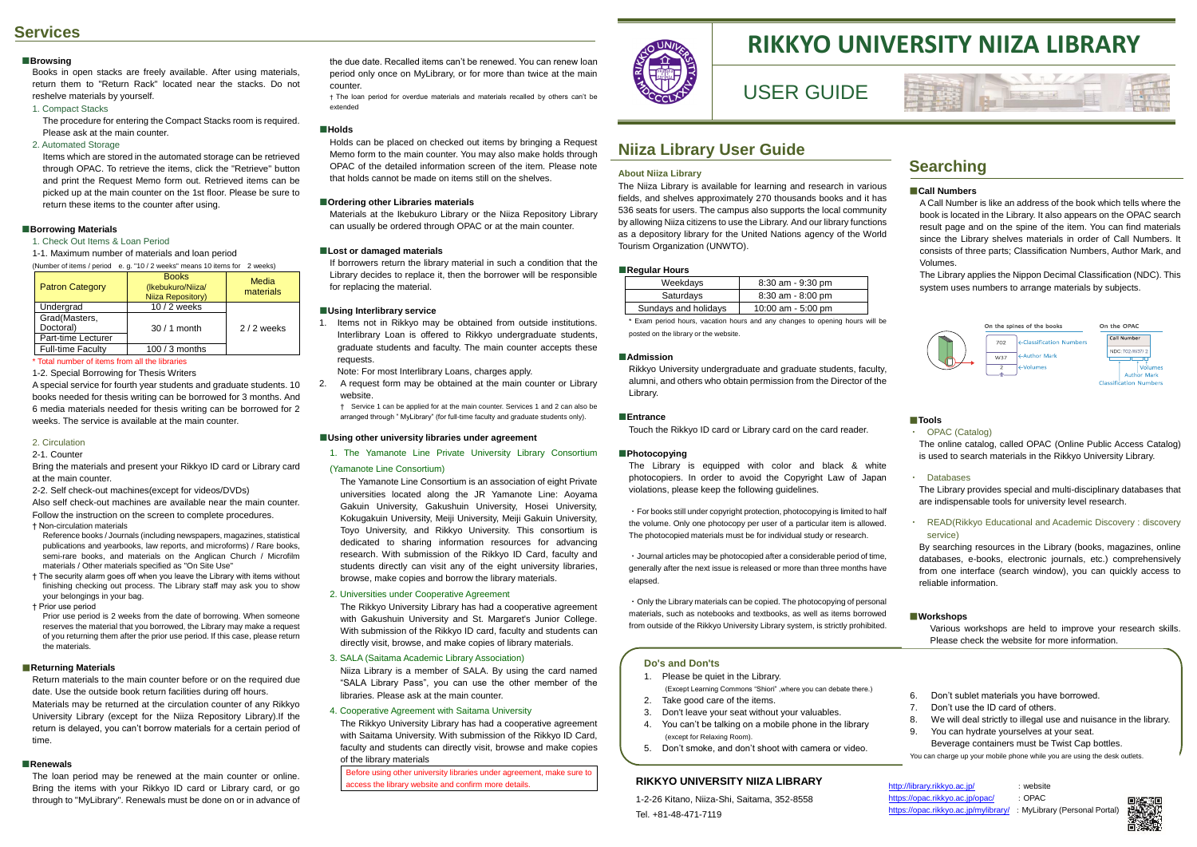# **Services**

#### **■Browsing**

Books in open stacks are freely available. After using materials, return them to "Return Rack" located near the stacks. Do not reshelve materials by yourself.

1. Compact Stacks

The procedure for entering the Compact Stacks room is required. Please ask at the main counter.

2. Automated Storage

Items which are stored in the automated storage can be retrieved through OPAC. To retrieve the items, click the "Retrieve" button and print the Request Memo form out. Retrieved items can be picked up at the main counter on the 1st floor. Please be sure to return these items to the counter after using.

#### **■Borrowing Materials**

1. Check Out Items & Loan Period

1-1. Maximum number of materials and loan period

| e. g. "10 / 2 weeks" means 10 items for 2 weeks)<br>(Number of items / period |                                                        |                    |
|-------------------------------------------------------------------------------|--------------------------------------------------------|--------------------|
| <b>Patron Category</b>                                                        | <b>Books</b><br>(Ikebukuro/Niiza/<br>Niiza Repository) | Media<br>materials |
| Undergrad                                                                     | 10 / 2 weeks                                           |                    |
| Grad(Masters,                                                                 |                                                        |                    |
| Doctoral)<br>Part-time Lecturer                                               | $30/1$ month                                           | $2/2$ weeks        |
| <b>Full-time Faculty</b>                                                      | 100 / 3 months                                         |                    |

#### \* Total number of items from all the libraries

1-2. Special Borrowing for Thesis Writers

A special service for fourth year students and graduate students. 10 books needed for thesis writing can be borrowed for 3 months. And 6 media materials needed for thesis writing can be borrowed for 2 weeks. The service is available at the main counter.

#### 2. Circulation

2-1. Counter

Bring the materials and present your Rikkyo ID card or Library card at the main counter.

2-2. Self check-out machines(except for videos/DVDs)

Also self check-out machines are available near the main counter. Follow the instruction on the screen to complete procedures.

† Non-circulation materials

- Reference books / Journals (including newspapers, magazines, statistical publications and yearbooks, law reports, and microforms) / Rare books, semi-rare books, and materials on the Anglican Church / Microfilm materials / Other materials specified as "On Site Use"
- † The security alarm goes off when you leave the Library with items without finishing checking out process. The Library staff may ask you to show your belongings in your bag.

† Prior use period

Prior use period is 2 weeks from the date of borrowing. When someone reserves the material that you borrowed, the Library may make a request of you returning them after the prior use period. If this case, please return the materials.

#### ■**Returning Materials**

Return materials to the main counter before or on the required due date. Use the outside book return facilities during off hours. Materials may be returned at the circulation counter of any Rikkyo University Library (except for the Niiza Repository Library).If the return is delayed, you can't borrow materials for a certain period of time.

#### **■Renewals**

The loan period may be renewed at the main counter or online. Bring the items with your Rikkyo ID card or Library card, or go through to "MyLibrary". Renewals must be done on or in advance of

# **Searching**

#### ■**Call Numbers**

A Call Number is like an address of the book which tells where the book is located in the Library. It also appears on the OPAC search result page and on the spine of the item. You can find materials since the Library shelves materials in order of Call Numbers. It consists of three parts; Classification Numbers, Author Mark, and Volumes.

The Library applies the Nippon Decimal Classification (NDC). This system uses numbers to arrange materials by subjects.



#### ■**Tools**

#### ・ OPAC (Catalog)

The online catalog, called OPAC (Online Public Access Catalog) is used to search materials in the Rikkyo University Library.

・ Databases

The Library provides special and multi-disciplinary databases that are indispensable tools for university level research.

#### ・ READ(Rikkyo Educational and Academic Discovery : discovery service)

By searching resources in the Library (books, magazines, online databases, e-books, electronic journals, etc.) comprehensively from one interface (search window), you can quickly access to reliable information.

#### ■**Workshops**

Various workshops are held to improve your research skills. Please check the website for more information.

### **Niiza Library User Guide**

#### **About Niiza Library**

The Niiza Library is available for learning and research in various fields, and shelves approximately 270 thousands books and it has 536 seats for users. The campus also supports the local community by allowing Niiza citizens to use the Library. And our library functions as a depository library for the United Nations agency of the World Tourism Organization (UNWTO).

#### **■Regular Hours**

| -                    |                       |
|----------------------|-----------------------|
| Weekdays             | $8:30$ am - $9:30$ pm |
| Saturdays            | $8:30$ am - $8:00$ pm |
| Sundays and holidays | 10:00 am $-5:00$ pm   |

\* Exam period hours, vacation hours and any changes to opening hours will be posted on the library or the website.

#### **■Admission**

Rikkyo University undergraduate and graduate students, faculty, alumni, and others who obtain permission from the Director of the Library.

#### **■Entrance**

Touch the Rikkyo ID card or Library card on the card reader.

#### **■Photocopying**

The Library is equipped with color and black & white photocopiers. In order to avoid the Copyright Law of Japan violations, please keep the following guidelines.

・For books still under copyright protection, photocopying is limited to half the volume. Only one photocopy per user of a particular item is allowed. The photocopied materials must be for individual study or research.

・Journal articles may be photocopied after a considerable period of time, generally after the next issue is released or more than three months have elapsed.

・Only the Library materials can be copied. The photocopying of personal materials, such as notebooks and textbooks, as well as items borrowed from outside of the Rikkyo University Library system, is strictly prohibited.

the due date. Recalled items can't be renewed. You can renew loan period only once on MyLibrary, or for more than twice at the main counter.

† The loan period for overdue materials and materials recalled by others can't be extended

#### **■Holds**

Holds can be placed on checked out items by bringing a Request Memo form to the main counter. You may also make holds through OPAC of the detailed information screen of the item. Please note that holds cannot be made on items still on the shelves.

#### **■Ordering other Libraries materials**

Materials at the Ikebukuro Library or the Niiza Repository Library can usually be ordered through OPAC or at the main counter.

#### **■Lost or damaged materials**

If borrowers return the library material in such a condition that the Library decides to replace it, then the borrower will be responsible for replacing the material.

#### **■Using Interlibrary service**

1. Items not in Rikkyo may be obtained from outside institutions. Interlibrary Loan is offered to Rikkyo undergraduate students, graduate students and faculty. The main counter accepts these requests.

Note: For most Interlibrary Loans, charges apply.

2. A request form may be obtained at the main counter or Library website.

† Service 1 can be applied for at the main counter. Services 1 and 2 can also be arranged through " MyLibrary" (for full-time faculty and graduate students only).

#### **■Using other university libraries under agreement**

1. The Yamanote Line Private University Library Consortium

#### (Yamanote Line Consortium)

The Yamanote Line Consortium is an association of eight Private universities located along the JR Yamanote Line: Aoyama Gakuin University, Gakushuin University, Hosei University, Kokugakuin University, Meiji University, Meiji Gakuin University, Toyo University, and Rikkyo University. This consortium is dedicated to sharing information resources for advancing research. With submission of the Rikkyo ID Card, faculty and students directly can visit any of the eight university libraries, browse, make copies and borrow the library materials.

#### 2. Universities under Cooperative Agreement

The Rikkyo University Library has had a cooperative agreement with Gakushuin University and St. Margaret's Junior College. With submission of the Rikkyo ID card, faculty and students can directly visit, browse, and make copies of library materials.

#### 3. SALA (Saitama Academic Library Association)

Niiza Library is a member of SALA. By using the card named "SALA Library Pass", you can use the other member of the libraries. Please ask at the main counter.

#### 4. Cooperative Agreement with Saitama University

The Rikkyo University Library has had a cooperative agreement with Saitama University. With submission of the Rikkyo ID Card, faculty and students can directly visit, browse and make copies of the library materials

Before using other university libraries under agreement, make sure to access the library website and confirm more details.



# **RIKKYO UNIVERSITY NIIZA LIBRARY**

# USER GUIDE

#### **Do's and Don'ts**

- 1. Please be quiet in the Library.
- (Except Learning Commons "Shiori" ,where you can debate there.) 2. Take good care of the items.
- 3. Don't leave your seat without your valuables.
- 4. You can't be talking on a mobile phone in the library
- (except for Relaxing Room).
- 5. Don't smoke, and don't shoot with camera or video.
- 6. Don't sublet materials you have borrowed.
- 7. Don't use the ID card of others.
- 8. We will deal strictly to illegal use and nuisance in the library.
- 9. You can hydrate yourselves at your seat.
- Beverage containers must be Twist Cap bottles.

You can charge up your mobile phone while you are using the desk outlets.

#### **RIKKYO UNIVERSITY NIIZA LIBRARY**

1-2-26 Kitano, Niiza-Shi, Saitama, 352-8558 Tel. +81-48-471-7119

http:// https:



| http://library.rikkyo.ac.jp/                                       | : website |  |
|--------------------------------------------------------------------|-----------|--|
| https://opac.rikkyo.ac.jp/opac/                                    | : OPAC    |  |
| https://opac.rikkyo.ac.jp/mylibrary/ : MyLibrary (Personal Portal) |           |  |